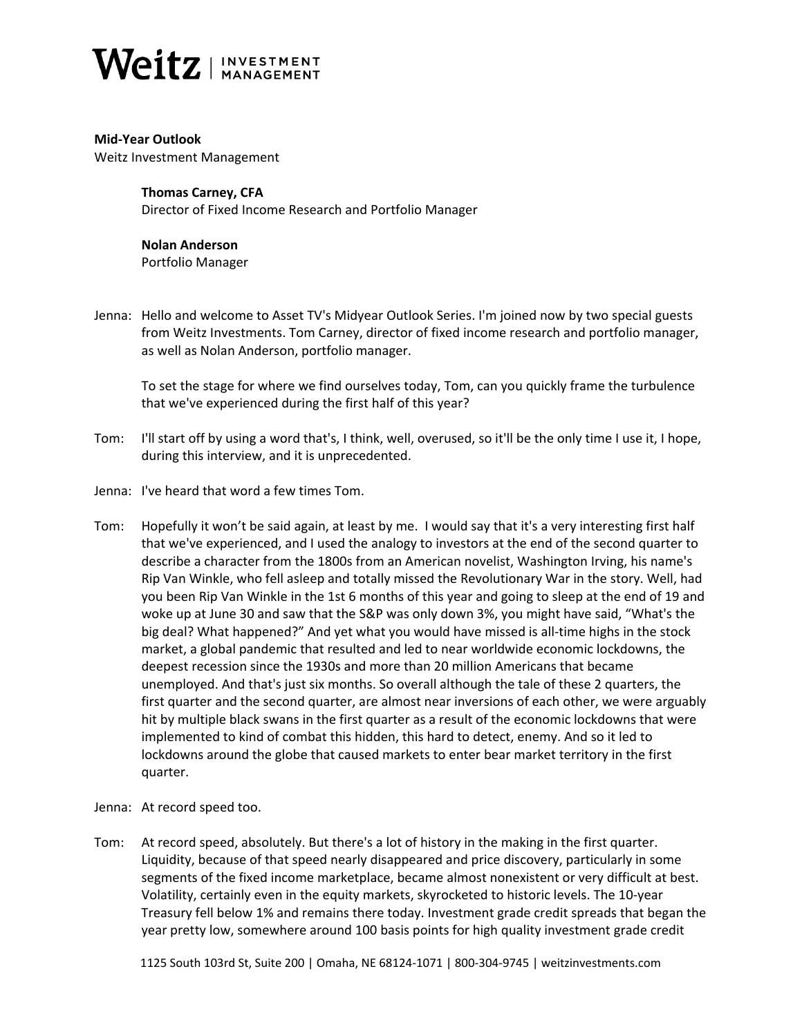

**Mid-Year Outlook** Weitz Investment Management

> **Thomas Carney, CFA** Director of Fixed Income Research and Portfolio Manager

**Nolan Anderson** Portfolio Manager

Jenna: Hello and welcome to Asset TV's Midyear Outlook Series. I'm joined now by two special guests from Weitz Investments. Tom Carney, director of fixed income research and portfolio manager, as well as Nolan Anderson, portfolio manager.

To set the stage for where we find ourselves today, Tom, can you quickly frame the turbulence that we've experienced during the first half of this year?

- Tom: I'll start off by using a word that's, I think, well, overused, so it'll be the only time I use it, I hope, during this interview, and it is unprecedented.
- Jenna: I've heard that word a few times Tom.
- Tom: Hopefully it won't be said again, at least by me. I would say that it's a very interesting first half that we've experienced, and I used the analogy to investors at the end of the second quarter to describe a character from the 1800s from an American novelist, Washington Irving, his name's Rip Van Winkle, who fell asleep and totally missed the Revolutionary War in the story. Well, had you been Rip Van Winkle in the 1st 6 months of this year and going to sleep at the end of 19 and woke up at June 30 and saw that the S&P was only down 3%, you might have said, "What's the big deal? What happened?" And yet what you would have missed is all-time highs in the stock market, a global pandemic that resulted and led to near worldwide economic lockdowns, the deepest recession since the 1930s and more than 20 million Americans that became unemployed. And that's just six months. So overall although the tale of these 2 quarters, the first quarter and the second quarter, are almost near inversions of each other, we were arguably hit by multiple black swans in the first quarter as a result of the economic lockdowns that were implemented to kind of combat this hidden, this hard to detect, enemy. And so it led to lockdowns around the globe that caused markets to enter bear market territory in the first quarter.
- Jenna: At record speed too.
- Tom: At record speed, absolutely. But there's a lot of history in the making in the first quarter. Liquidity, because of that speed nearly disappeared and price discovery, particularly in some segments of the fixed income marketplace, became almost nonexistent or very difficult at best. Volatility, certainly even in the equity markets, skyrocketed to historic levels. The 10-year Treasury fell below 1% and remains there today. Investment grade credit spreads that began the year pretty low, somewhere around 100 basis points for high quality investment grade credit

1125 South 103rd St, Suite 200 | Omaha, NE 68124-1071 | 800-304-9745 | weitzinvestments.com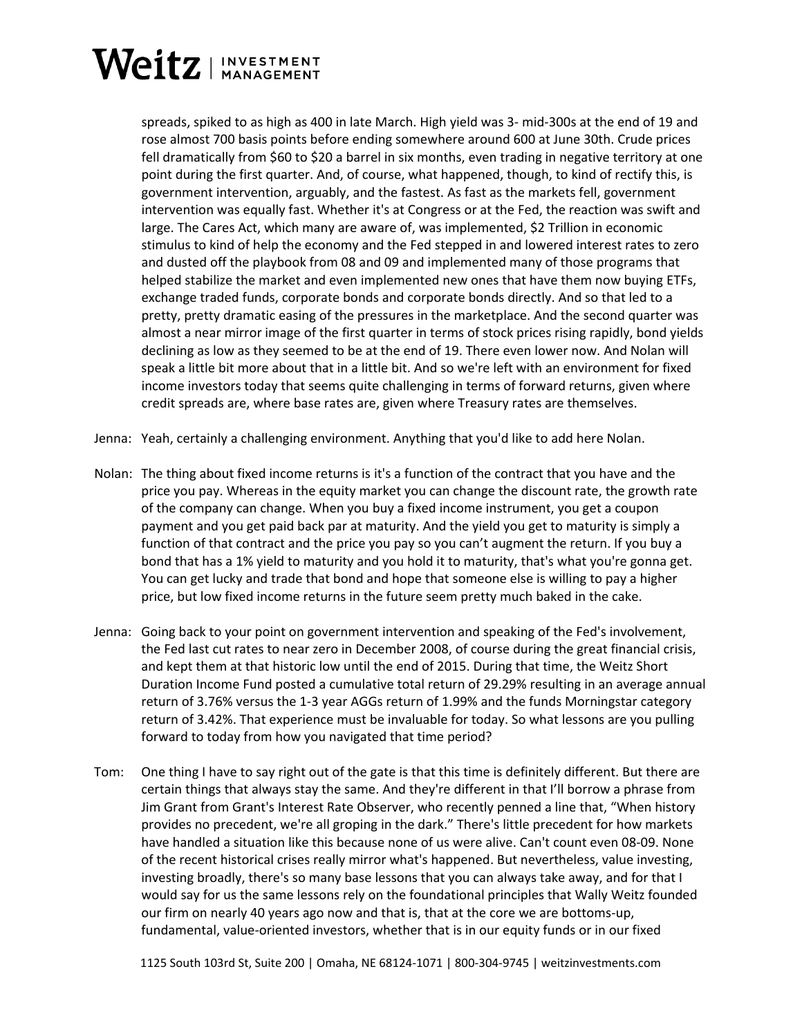

spreads, spiked to as high as 400 in late March. High yield was 3- mid-300s at the end of 19 and rose almost 700 basis points before ending somewhere around 600 at June 30th. Crude prices fell dramatically from \$60 to \$20 a barrel in six months, even trading in negative territory at one point during the first quarter. And, of course, what happened, though, to kind of rectify this, is government intervention, arguably, and the fastest. As fast as the markets fell, government intervention was equally fast. Whether it's at Congress or at the Fed, the reaction was swift and large. The Cares Act, which many are aware of, was implemented, \$2 Trillion in economic stimulus to kind of help the economy and the Fed stepped in and lowered interest rates to zero and dusted off the playbook from 08 and 09 and implemented many of those programs that helped stabilize the market and even implemented new ones that have them now buying ETFs, exchange traded funds, corporate bonds and corporate bonds directly. And so that led to a pretty, pretty dramatic easing of the pressures in the marketplace. And the second quarter was almost a near mirror image of the first quarter in terms of stock prices rising rapidly, bond yields declining as low as they seemed to be at the end of 19. There even lower now. And Nolan will speak a little bit more about that in a little bit. And so we're left with an environment for fixed income investors today that seems quite challenging in terms of forward returns, given where credit spreads are, where base rates are, given where Treasury rates are themselves.

- Jenna: Yeah, certainly a challenging environment. Anything that you'd like to add here Nolan.
- Nolan: The thing about fixed income returns is it's a function of the contract that you have and the price you pay. Whereas in the equity market you can change the discount rate, the growth rate of the company can change. When you buy a fixed income instrument, you get a coupon payment and you get paid back par at maturity. And the yield you get to maturity is simply a function of that contract and the price you pay so you can't augment the return. If you buy a bond that has a 1% yield to maturity and you hold it to maturity, that's what you're gonna get. You can get lucky and trade that bond and hope that someone else is willing to pay a higher price, but low fixed income returns in the future seem pretty much baked in the cake.
- Jenna: Going back to your point on government intervention and speaking of the Fed's involvement, the Fed last cut rates to near zero in December 2008, of course during the great financial crisis, and kept them at that historic low until the end of 2015. During that time, the Weitz Short Duration Income Fund posted a cumulative total return of 29.29% resulting in an average annual return of 3.76% versus the 1-3 year AGGs return of 1.99% and the funds Morningstar category return of 3.42%. That experience must be invaluable for today. So what lessons are you pulling forward to today from how you navigated that time period?
- Tom: One thing I have to say right out of the gate is that this time is definitely different. But there are certain things that always stay the same. And they're different in that I'll borrow a phrase from Jim Grant from Grant's Interest Rate Observer, who recently penned a line that, "When history provides no precedent, we're all groping in the dark." There's little precedent for how markets have handled a situation like this because none of us were alive. Can't count even 08-09. None of the recent historical crises really mirror what's happened. But nevertheless, value investing, investing broadly, there's so many base lessons that you can always take away, and for that I would say for us the same lessons rely on the foundational principles that Wally Weitz founded our firm on nearly 40 years ago now and that is, that at the core we are bottoms-up, fundamental, value-oriented investors, whether that is in our equity funds or in our fixed

1125 South 103rd St, Suite 200 | Omaha, NE 68124-1071 | 800-304-9745 | weitzinvestments.com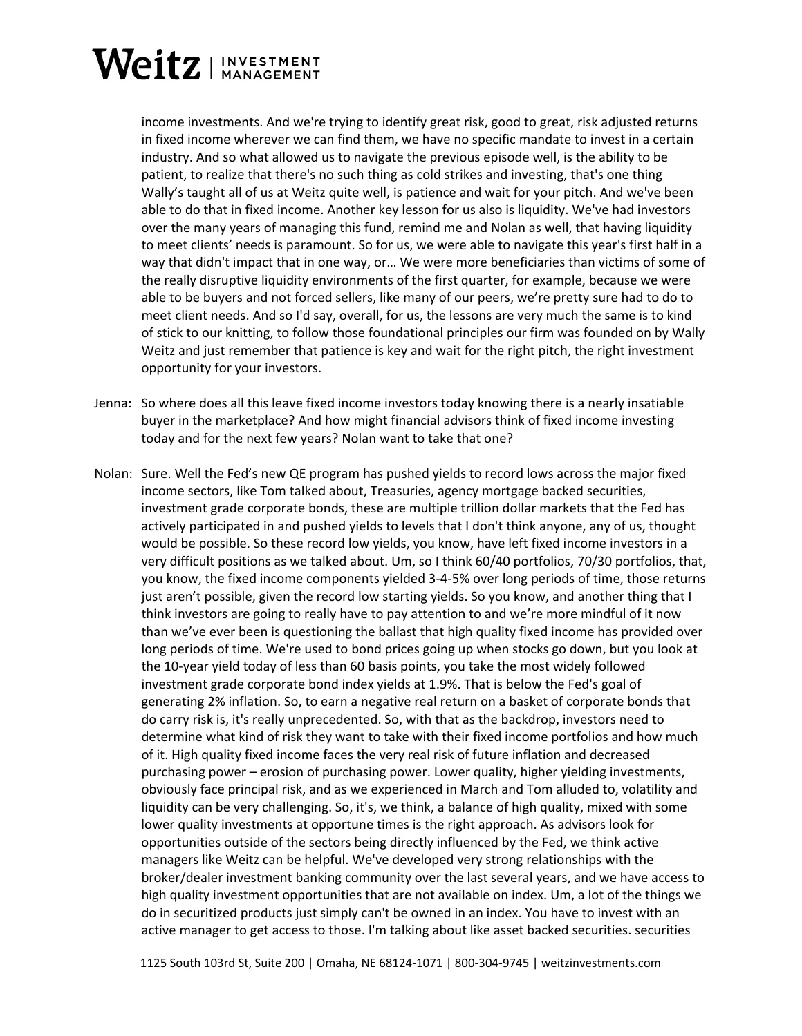## Weitz | INVESTMENT

income investments. And we're trying to identify great risk, good to great, risk adjusted returns in fixed income wherever we can find them, we have no specific mandate to invest in a certain industry. And so what allowed us to navigate the previous episode well, is the ability to be patient, to realize that there's no such thing as cold strikes and investing, that's one thing Wally's taught all of us at Weitz quite well, is patience and wait for your pitch. And we've been able to do that in fixed income. Another key lesson for us also is liquidity. We've had investors over the many years of managing this fund, remind me and Nolan as well, that having liquidity to meet clients' needs is paramount. So for us, we were able to navigate this year's first half in a way that didn't impact that in one way, or… We were more beneficiaries than victims of some of the really disruptive liquidity environments of the first quarter, for example, because we were able to be buyers and not forced sellers, like many of our peers, we're pretty sure had to do to meet client needs. And so I'd say, overall, for us, the lessons are very much the same is to kind of stick to our knitting, to follow those foundational principles our firm was founded on by Wally Weitz and just remember that patience is key and wait for the right pitch, the right investment opportunity for your investors.

- Jenna: So where does all this leave fixed income investors today knowing there is a nearly insatiable buyer in the marketplace? And how might financial advisors think of fixed income investing today and for the next few years? Nolan want to take that one?
- Nolan: Sure. Well the Fed's new QE program has pushed yields to record lows across the major fixed income sectors, like Tom talked about, Treasuries, agency mortgage backed securities, investment grade corporate bonds, these are multiple trillion dollar markets that the Fed has actively participated in and pushed yields to levels that I don't think anyone, any of us, thought would be possible. So these record low yields, you know, have left fixed income investors in a very difficult positions as we talked about. Um, so I think 60/40 portfolios, 70/30 portfolios, that, you know, the fixed income components yielded 3-4-5% over long periods of time, those returns just aren't possible, given the record low starting yields. So you know, and another thing that I think investors are going to really have to pay attention to and we're more mindful of it now than we've ever been is questioning the ballast that high quality fixed income has provided over long periods of time. We're used to bond prices going up when stocks go down, but you look at the 10-year yield today of less than 60 basis points, you take the most widely followed investment grade corporate bond index yields at 1.9%. That is below the Fed's goal of generating 2% inflation. So, to earn a negative real return on a basket of corporate bonds that do carry risk is, it's really unprecedented. So, with that as the backdrop, investors need to determine what kind of risk they want to take with their fixed income portfolios and how much of it. High quality fixed income faces the very real risk of future inflation and decreased purchasing power – erosion of purchasing power. Lower quality, higher yielding investments, obviously face principal risk, and as we experienced in March and Tom alluded to, volatility and liquidity can be very challenging. So, it's, we think, a balance of high quality, mixed with some lower quality investments at opportune times is the right approach. As advisors look for opportunities outside of the sectors being directly influenced by the Fed, we think active managers like Weitz can be helpful. We've developed very strong relationships with the broker/dealer investment banking community over the last several years, and we have access to high quality investment opportunities that are not available on index. Um, a lot of the things we do in securitized products just simply can't be owned in an index. You have to invest with an active manager to get access to those. I'm talking about like asset backed securities. securities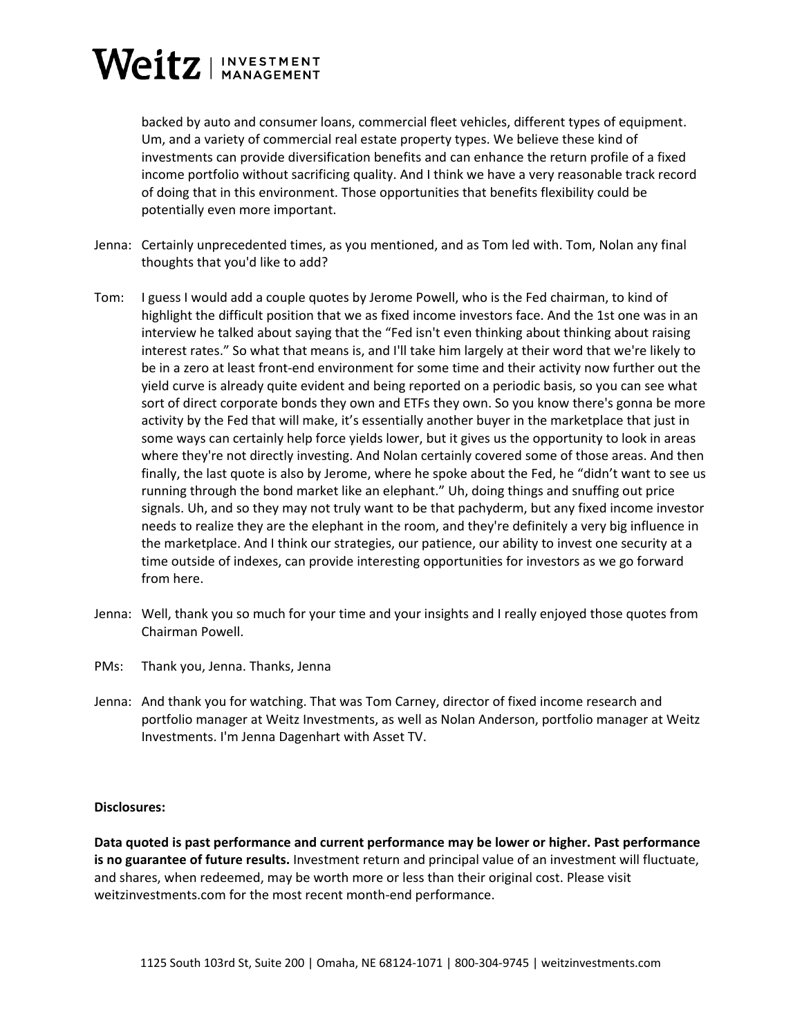## Weitz | INVESTMENT

backed by auto and consumer loans, commercial fleet vehicles, different types of equipment. Um, and a variety of commercial real estate property types. We believe these kind of investments can provide diversification benefits and can enhance the return profile of a fixed income portfolio without sacrificing quality. And I think we have a very reasonable track record of doing that in this environment. Those opportunities that benefits flexibility could be potentially even more important.

- Jenna: Certainly unprecedented times, as you mentioned, and as Tom led with. Tom, Nolan any final thoughts that you'd like to add?
- Tom: I guess I would add a couple quotes by Jerome Powell, who is the Fed chairman, to kind of highlight the difficult position that we as fixed income investors face. And the 1st one was in an interview he talked about saying that the "Fed isn't even thinking about thinking about raising interest rates." So what that means is, and I'll take him largely at their word that we're likely to be in a zero at least front-end environment for some time and their activity now further out the yield curve is already quite evident and being reported on a periodic basis, so you can see what sort of direct corporate bonds they own and ETFs they own. So you know there's gonna be more activity by the Fed that will make, it's essentially another buyer in the marketplace that just in some ways can certainly help force yields lower, but it gives us the opportunity to look in areas where they're not directly investing. And Nolan certainly covered some of those areas. And then finally, the last quote is also by Jerome, where he spoke about the Fed, he "didn't want to see us running through the bond market like an elephant." Uh, doing things and snuffing out price signals. Uh, and so they may not truly want to be that pachyderm, but any fixed income investor needs to realize they are the elephant in the room, and they're definitely a very big influence in the marketplace. And I think our strategies, our patience, our ability to invest one security at a time outside of indexes, can provide interesting opportunities for investors as we go forward from here.
- Jenna: Well, thank you so much for your time and your insights and I really enjoyed those quotes from Chairman Powell.
- PMs: Thank you, Jenna. Thanks, Jenna
- Jenna: And thank you for watching. That was Tom Carney, director of fixed income research and portfolio manager at Weitz Investments, as well as Nolan Anderson, portfolio manager at Weitz Investments. I'm Jenna Dagenhart with Asset TV.

## **Disclosures:**

**Data quoted is past performance and current performance may be lower or higher. Past performance is no guarantee of future results.** Investment return and principal value of an investment will fluctuate, and shares, when redeemed, may be worth more or less than their original cost. Please visit weitzinvestments.com for the most recent month-end performance.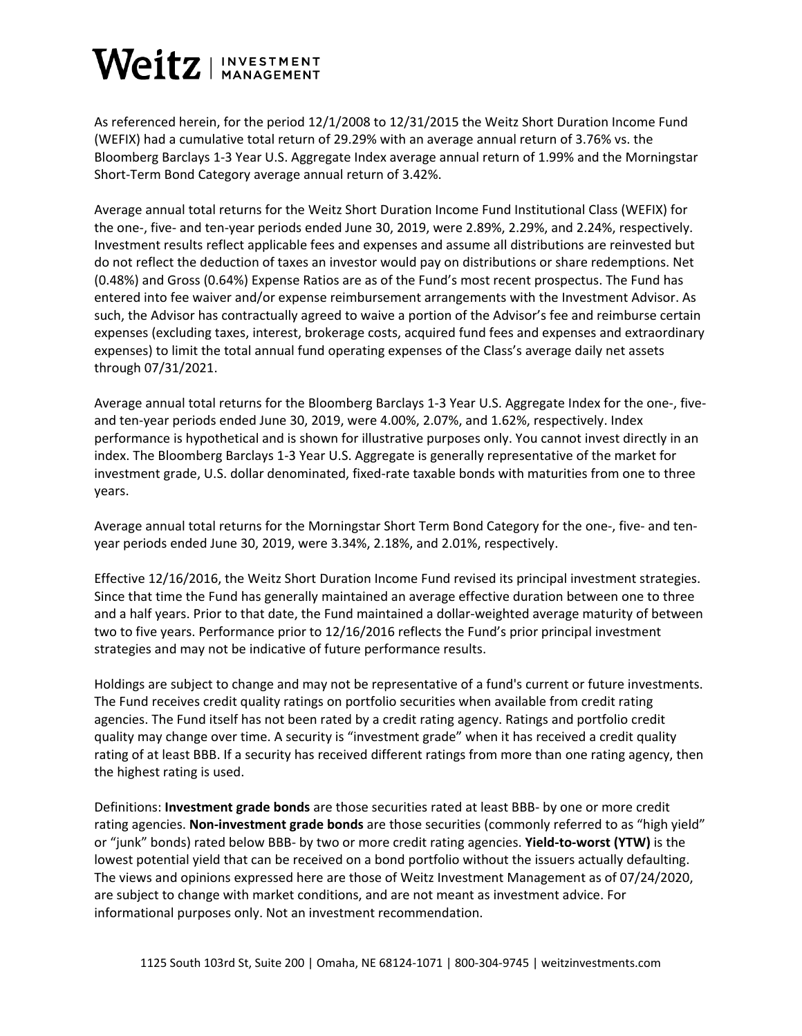## Weitz | INVESTMENT

As referenced herein, for the period 12/1/2008 to 12/31/2015 the Weitz Short Duration Income Fund (WEFIX) had a cumulative total return of 29.29% with an average annual return of 3.76% vs. the Bloomberg Barclays 1-3 Year U.S. Aggregate Index average annual return of 1.99% and the Morningstar Short-Term Bond Category average annual return of 3.42%.

Average annual total returns for the Weitz Short Duration Income Fund Institutional Class (WEFIX) for the one-, five- and ten-year periods ended June 30, 2019, were 2.89%, 2.29%, and 2.24%, respectively. Investment results reflect applicable fees and expenses and assume all distributions are reinvested but do not reflect the deduction of taxes an investor would pay on distributions or share redemptions. Net (0.48%) and Gross (0.64%) Expense Ratios are as of the Fund's most recent prospectus. The Fund has entered into fee waiver and/or expense reimbursement arrangements with the Investment Advisor. As such, the Advisor has contractually agreed to waive a portion of the Advisor's fee and reimburse certain expenses (excluding taxes, interest, brokerage costs, acquired fund fees and expenses and extraordinary expenses) to limit the total annual fund operating expenses of the Class's average daily net assets through 07/31/2021.

Average annual total returns for the Bloomberg Barclays 1-3 Year U.S. Aggregate Index for the one-, fiveand ten-year periods ended June 30, 2019, were 4.00%, 2.07%, and 1.62%, respectively. Index performance is hypothetical and is shown for illustrative purposes only. You cannot invest directly in an index. The Bloomberg Barclays 1-3 Year U.S. Aggregate is generally representative of the market for investment grade, U.S. dollar denominated, fixed-rate taxable bonds with maturities from one to three years.

Average annual total returns for the Morningstar Short Term Bond Category for the one-, five- and tenyear periods ended June 30, 2019, were 3.34%, 2.18%, and 2.01%, respectively.

Effective 12/16/2016, the Weitz Short Duration Income Fund revised its principal investment strategies. Since that time the Fund has generally maintained an average effective duration between one to three and a half years. Prior to that date, the Fund maintained a dollar-weighted average maturity of between two to five years. Performance prior to 12/16/2016 reflects the Fund's prior principal investment strategies and may not be indicative of future performance results.

Holdings are subject to change and may not be representative of a fund's current or future investments. The Fund receives credit quality ratings on portfolio securities when available from credit rating agencies. The Fund itself has not been rated by a credit rating agency. Ratings and portfolio credit quality may change over time. A security is "investment grade" when it has received a credit quality rating of at least BBB. If a security has received different ratings from more than one rating agency, then the highest rating is used.

Definitions: **Investment grade bonds** are those securities rated at least BBB- by one or more credit rating agencies. **Non-investment grade bonds** are those securities (commonly referred to as "high yield" or "junk" bonds) rated below BBB- by two or more credit rating agencies. **Yield-to-worst (YTW)** is the lowest potential yield that can be received on a bond portfolio without the issuers actually defaulting. The views and opinions expressed here are those of Weitz Investment Management as of 07/24/2020, are subject to change with market conditions, and are not meant as investment advice. For informational purposes only. Not an investment recommendation.